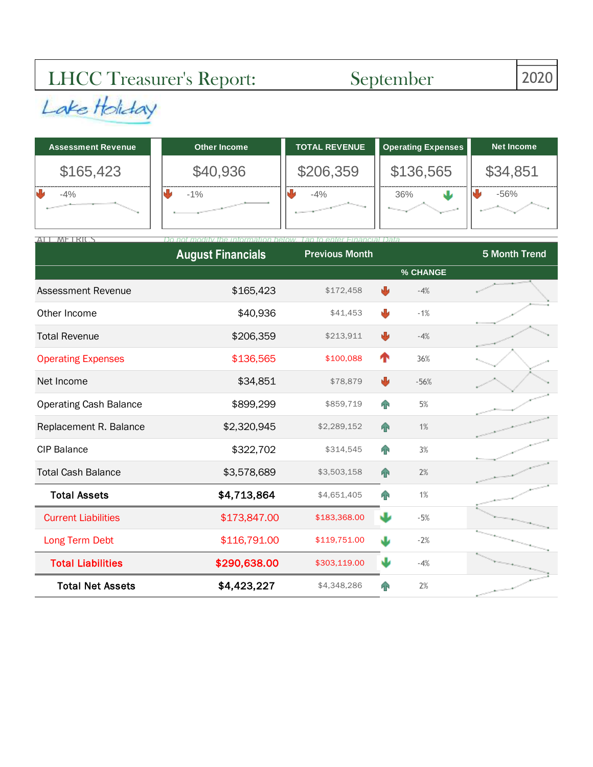## LHCC Treasurer's Report: September 2020

| <b>Assessment Revenue</b> | Other Income | TOTAL REVENUE | <b>Operating Expenses</b> | <b>Net Income</b> |
|---------------------------|--------------|---------------|---------------------------|-------------------|
| \$165,423                 | \$40,936     | \$206,359     | \$136,565                 | \$34,851          |
| $-4%$                     | $-1\%$       | $-4%$         | 36%                       | $-56%$            |

| ALL METRICS                   |                          |                       |              |          |                      |
|-------------------------------|--------------------------|-----------------------|--------------|----------|----------------------|
|                               | <b>August Financials</b> | <b>Previous Month</b> |              |          | <b>5 Month Trend</b> |
|                               |                          |                       |              | % CHANGE |                      |
| <b>Assessment Revenue</b>     | \$165,423                | \$172,458             | ₩            | $-4%$    |                      |
| Other Income                  | \$40,936                 | \$41,453              | ₩            | $-1%$    |                      |
| <b>Total Revenue</b>          | \$206,359                | \$213,911             | ₩            | $-4%$    |                      |
| <b>Operating Expenses</b>     | \$136,565                | \$100,088             | ↑            | 36%      |                      |
| Net Income                    | \$34,851                 | \$78,879              | ₩            | $-56%$   |                      |
| <b>Operating Cash Balance</b> | \$899,299                | \$859,719             | <b>FIN</b>   | 5%       |                      |
| Replacement R. Balance        | \$2,320,945              | \$2,289,152           | 个            | 1%       |                      |
| <b>CIP Balance</b>            | \$322,702                | \$314,545             | <b>AN</b>    | 3%       |                      |
| <b>Total Cash Balance</b>     | \$3,578,689              | \$3,503,158           | $\mathbf{r}$ | 2%       |                      |
| <b>Total Assets</b>           | \$4,713,864              | \$4,651,405           | <b>FIN</b>   | 1%       |                      |
| <b>Current Liabilities</b>    | \$173,847.00             | \$183,368.00          | J            | $-5%$    |                      |
| Long Term Debt                | \$116,791.00             | \$119,751.00          | J            | $-2%$    |                      |
| <b>Total Liabilities</b>      | \$290,638.00             | \$303,119.00          | J۶           | $-4%$    |                      |
| <b>Total Net Assets</b>       | \$4,423,227              | \$4,348,286           | ЯP           | 2%       |                      |